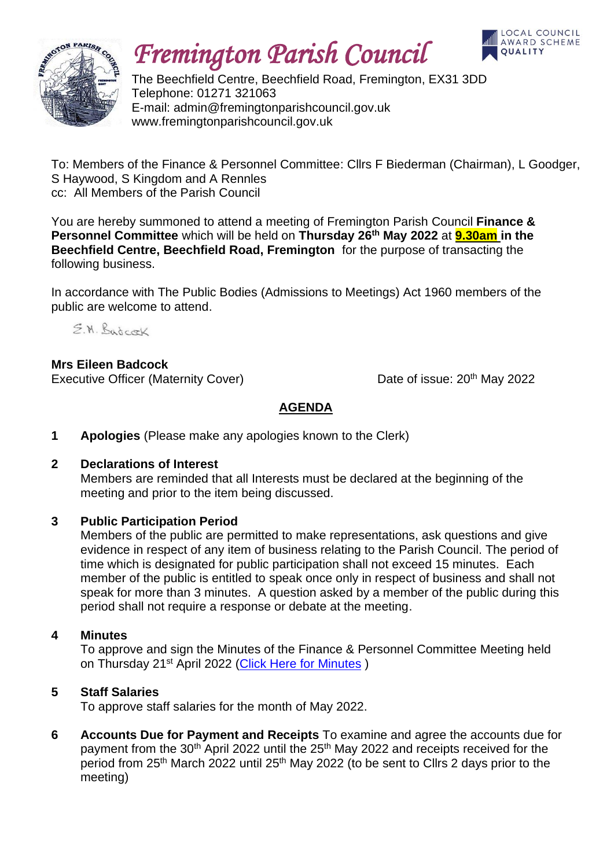

# *Fremington Parish Council*



The Beechfield Centre, Beechfield Road, Fremington, EX31 3DD Telephone: 01271 321063 E-mail: admin@fremingtonparishcouncil.gov.uk www.fremingtonparishcouncil.gov.uk

To: Members of the Finance & Personnel Committee: Cllrs F Biederman (Chairman), L Goodger, S Haywood, S Kingdom and A Rennles cc: All Members of the Parish Council

You are hereby summoned to attend a meeting of Fremington Parish Council **Finance & Personnel Committee** which will be held on **Thursday 26 th May 2022** at **9.30am in the Beechfield Centre, Beechfield Road, Fremington** for the purpose of transacting the following business.

In accordance with The Public Bodies (Admissions to Meetings) Act 1960 members of the public are welcome to attend.

E.M. Bardcock

**Mrs Eileen Badcock** Executive Officer (Maternity Cover) Date of issue: 20<sup>th</sup> May 2022

## **AGENDA**

**1 Apologies** (Please make any apologies known to the Clerk)

### **2 Declarations of Interest**

Members are reminded that all Interests must be declared at the beginning of the meeting and prior to the item being discussed.

### **3 Public Participation Period**

Members of the public are permitted to make representations, ask questions and give evidence in respect of any item of business relating to the Parish Council. The period of time which is designated for public participation shall not exceed 15 minutes. Each member of the public is entitled to speak once only in respect of business and shall not speak for more than 3 minutes. A question asked by a member of the public during this period shall not require a response or debate at the meeting.

#### **4 Minutes**

To approve and sign the Minutes of the Finance & Personnel Committee Meeting held on Thursday 21<sup>st</sup> April 2022 [\(Click Here for Minutes](https://www.fremingtonparishcouncil.gov.uk/meetings.php))

### **5 Staff Salaries**

To approve staff salaries for the month of May 2022.

**6 Accounts Due for Payment and Receipts** To examine and agree the accounts due for payment from the 30<sup>th</sup> April 2022 until the 25<sup>th</sup> May 2022 and receipts received for the period from 25th March 2022 until 25th May 2022 (to be sent to Cllrs 2 days prior to the meeting)